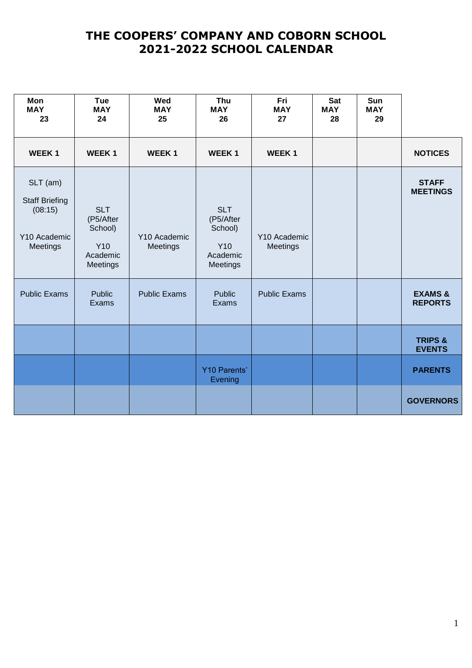| Mon<br><b>MAY</b><br>23                                                  | <b>Tue</b><br><b>MAY</b><br>24                                    | Wed<br><b>MAY</b><br>25  | Thu<br><b>MAY</b><br>26                                           | Fri<br><b>MAY</b><br>27  | <b>Sat</b><br><b>MAY</b><br>28 | Sun<br><b>MAY</b><br>29 |                                      |
|--------------------------------------------------------------------------|-------------------------------------------------------------------|--------------------------|-------------------------------------------------------------------|--------------------------|--------------------------------|-------------------------|--------------------------------------|
| WEEK <sub>1</sub>                                                        | <b>WEEK1</b>                                                      | <b>WEEK1</b>             | <b>WEEK1</b>                                                      | <b>WEEK1</b>             |                                |                         | <b>NOTICES</b>                       |
| SLT (am)<br><b>Staff Briefing</b><br>(08:15)<br>Y10 Academic<br>Meetings | <b>SLT</b><br>(P5/After<br>School)<br>Y10<br>Academic<br>Meetings | Y10 Academic<br>Meetings | <b>SLT</b><br>(P5/After<br>School)<br>Y10<br>Academic<br>Meetings | Y10 Academic<br>Meetings |                                |                         | <b>STAFF</b><br><b>MEETINGS</b>      |
| <b>Public Exams</b>                                                      | Public<br>Exams                                                   | <b>Public Exams</b>      | <b>Public</b><br>Exams                                            | <b>Public Exams</b>      |                                |                         | <b>EXAMS &amp;</b><br><b>REPORTS</b> |
|                                                                          |                                                                   |                          |                                                                   |                          |                                |                         | <b>TRIPS &amp;</b><br><b>EVENTS</b>  |
|                                                                          |                                                                   |                          | <b>Y10 Parents'</b><br>Evening                                    |                          |                                |                         | <b>PARENTS</b>                       |
|                                                                          |                                                                   |                          |                                                                   |                          |                                |                         | <b>GOVERNORS</b>                     |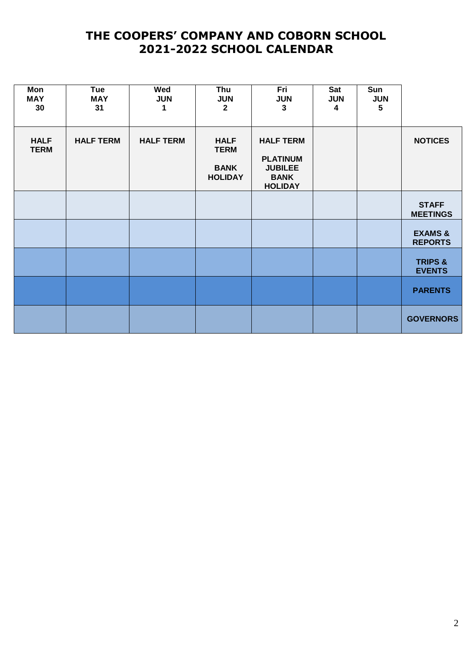|                                      | Sun<br><b>JUN</b><br>5 | Sat<br><b>JUN</b><br>4 | Fri<br><b>JUN</b><br>3                                                                 | Thu<br><b>JUN</b><br>$\mathbf{2}$                           | Wed<br><b>JUN</b><br>1 | Tue<br><b>MAY</b><br>31 | Mon<br><b>MAY</b><br>30    |
|--------------------------------------|------------------------|------------------------|----------------------------------------------------------------------------------------|-------------------------------------------------------------|------------------------|-------------------------|----------------------------|
| <b>NOTICES</b>                       |                        |                        | <b>HALF TERM</b><br><b>PLATINUM</b><br><b>JUBILEE</b><br><b>BANK</b><br><b>HOLIDAY</b> | <b>HALF</b><br><b>TERM</b><br><b>BANK</b><br><b>HOLIDAY</b> | <b>HALF TERM</b>       | <b>HALF TERM</b>        | <b>HALF</b><br><b>TERM</b> |
| <b>STAFF</b><br><b>MEETINGS</b>      |                        |                        |                                                                                        |                                                             |                        |                         |                            |
| <b>EXAMS &amp;</b><br><b>REPORTS</b> |                        |                        |                                                                                        |                                                             |                        |                         |                            |
| <b>TRIPS &amp;</b><br><b>EVENTS</b>  |                        |                        |                                                                                        |                                                             |                        |                         |                            |
| <b>PARENTS</b>                       |                        |                        |                                                                                        |                                                             |                        |                         |                            |
| <b>GOVERNORS</b>                     |                        |                        |                                                                                        |                                                             |                        |                         |                            |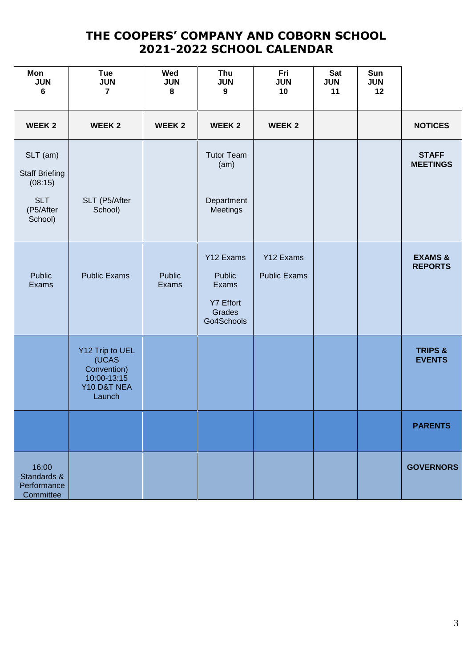|                                      | Sun<br><b>JUN</b><br>12 | Sat<br><b>JUN</b><br>11 | Fri<br><b>JUN</b><br>10          | Thu<br><b>JUN</b><br>$\boldsymbol{9}$                                           | Wed<br><b>JUN</b><br>8 | Tue<br><b>JUN</b><br>$\overline{7}$                                             | Mon<br><b>JUN</b><br>6                                                             |
|--------------------------------------|-------------------------|-------------------------|----------------------------------|---------------------------------------------------------------------------------|------------------------|---------------------------------------------------------------------------------|------------------------------------------------------------------------------------|
| <b>NOTICES</b>                       |                         |                         | <b>WEEK 2</b>                    | <b>WEEK2</b>                                                                    | <b>WEEK2</b>           | <b>WEEK 2</b>                                                                   | <b>WEEK2</b>                                                                       |
| <b>STAFF</b><br><b>MEETINGS</b>      |                         |                         |                                  | <b>Tutor Team</b><br>(am)<br>Department<br>Meetings                             |                        | SLT (P5/After<br>School)                                                        | SLT (am)<br><b>Staff Briefing</b><br>(08:15)<br><b>SLT</b><br>(P5/After<br>School) |
| <b>EXAMS &amp;</b><br><b>REPORTS</b> |                         |                         | Y12 Exams<br><b>Public Exams</b> | Y12 Exams<br><b>Public</b><br>Exams<br><b>Y7 Effort</b><br>Grades<br>Go4Schools | <b>Public</b><br>Exams | <b>Public Exams</b>                                                             | Public<br>Exams                                                                    |
| <b>TRIPS &amp;</b><br><b>EVENTS</b>  |                         |                         |                                  |                                                                                 |                        | Y12 Trip to UEL<br>(UCAS<br>Convention)<br>10:00-13:15<br>Y10 D&T NEA<br>Launch |                                                                                    |
| <b>PARENTS</b>                       |                         |                         |                                  |                                                                                 |                        |                                                                                 |                                                                                    |
| <b>GOVERNORS</b>                     |                         |                         |                                  |                                                                                 |                        |                                                                                 | 16:00<br>Standards &<br>Performance<br>Committee                                   |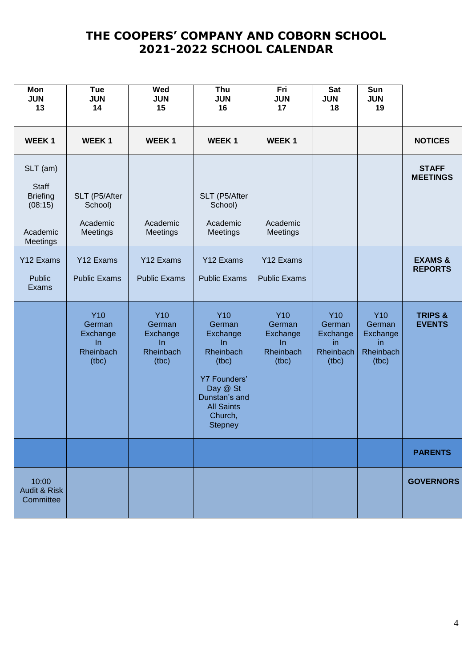| Mon<br><b>JUN</b><br>13                                                        | <b>Tue</b><br><b>JUN</b><br>14                                | Wed<br><b>JUN</b><br>15                                      | Thu<br><b>JUN</b><br>16                                                                                                                                               | Fri<br><b>JUN</b><br>17                                             | Sat<br><b>JUN</b><br>18                                       | Sun<br><b>JUN</b><br>19                                      |                                      |
|--------------------------------------------------------------------------------|---------------------------------------------------------------|--------------------------------------------------------------|-----------------------------------------------------------------------------------------------------------------------------------------------------------------------|---------------------------------------------------------------------|---------------------------------------------------------------|--------------------------------------------------------------|--------------------------------------|
| <b>WEEK1</b>                                                                   | <b>WEEK1</b>                                                  | <b>WEEK1</b>                                                 | <b>WEEK1</b>                                                                                                                                                          | <b>WEEK1</b>                                                        |                                                               |                                                              | <b>NOTICES</b>                       |
| SLT (am)<br><b>Staff</b><br><b>Briefing</b><br>(08:15)<br>Academic<br>Meetings | SLT (P5/After<br>School)<br>Academic<br>Meetings              | Academic<br>Meetings                                         | SLT (P5/After<br>School)<br>Academic<br>Meetings                                                                                                                      | Academic<br>Meetings                                                |                                                               |                                                              | <b>STAFF</b><br><b>MEETINGS</b>      |
| Y12 Exams<br>Public<br>Exams                                                   | Y12 Exams<br><b>Public Exams</b>                              | Y12 Exams<br><b>Public Exams</b>                             | Y12 Exams<br><b>Public Exams</b>                                                                                                                                      | Y12 Exams<br><b>Public Exams</b>                                    |                                                               |                                                              | <b>EXAMS &amp;</b><br><b>REPORTS</b> |
|                                                                                | <b>Y10</b><br>German<br>Exchange<br>In.<br>Rheinbach<br>(tbc) | <b>Y10</b><br>German<br>Exchange<br>In<br>Rheinbach<br>(tbc) | <b>Y10</b><br>German<br>Exchange<br>$\ln$<br>Rheinbach<br>(tbc)<br><b>Y7 Founders'</b><br>Day @ St<br>Dunstan's and<br><b>All Saints</b><br>Church,<br><b>Stepney</b> | <b>Y10</b><br>German<br>Exchange<br><b>In</b><br>Rheinbach<br>(tbc) | <b>Y10</b><br>German<br>Exchange<br>in.<br>Rheinbach<br>(tbc) | <b>Y10</b><br>German<br>Exchange<br>in<br>Rheinbach<br>(tbc) | <b>TRIPS &amp;</b><br><b>EVENTS</b>  |
|                                                                                |                                                               |                                                              |                                                                                                                                                                       |                                                                     |                                                               |                                                              | <b>PARENTS</b>                       |
| 10:00<br><b>Audit &amp; Risk</b><br>Committee                                  |                                                               |                                                              |                                                                                                                                                                       |                                                                     |                                                               |                                                              | <b>GOVERNORS</b>                     |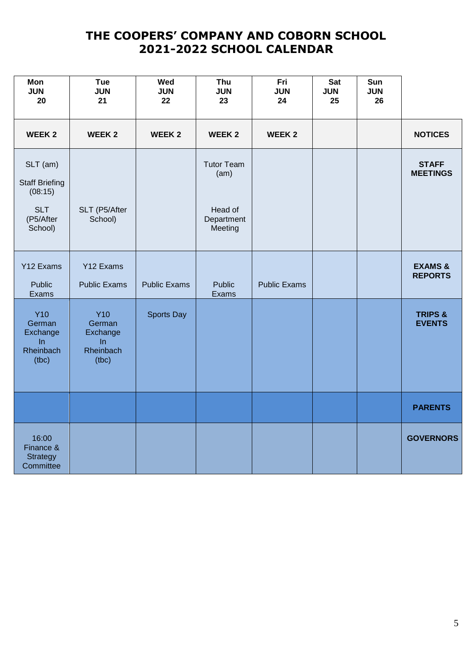| Mon<br><b>JUN</b><br>20                                                            | <b>Tue</b><br><b>JUN</b><br>21                               | Wed<br><b>JUN</b><br>22 | Thu<br><b>JUN</b><br>23                                       | Fri<br><b>JUN</b><br>24 | <b>Sat</b><br><b>JUN</b><br>25 | Sun<br><b>JUN</b><br>26 |                                      |
|------------------------------------------------------------------------------------|--------------------------------------------------------------|-------------------------|---------------------------------------------------------------|-------------------------|--------------------------------|-------------------------|--------------------------------------|
| <b>WEEK2</b>                                                                       | <b>WEEK2</b>                                                 | <b>WEEK 2</b>           | <b>WEEK2</b>                                                  | <b>WEEK 2</b>           |                                |                         | <b>NOTICES</b>                       |
| SLT (am)<br><b>Staff Briefing</b><br>(08:15)<br><b>SLT</b><br>(P5/After<br>School) | SLT (P5/After<br>School)                                     |                         | <b>Tutor Team</b><br>(am)<br>Head of<br>Department<br>Meeting |                         |                                |                         | <b>STAFF</b><br><b>MEETINGS</b>      |
| Y12 Exams<br><b>Public</b><br>Exams                                                | Y12 Exams<br><b>Public Exams</b>                             | <b>Public Exams</b>     | <b>Public</b><br>Exams                                        | <b>Public Exams</b>     |                                |                         | <b>EXAMS &amp;</b><br><b>REPORTS</b> |
| <b>Y10</b><br>German<br>Exchange<br>In<br>Rheinbach<br>(tbc)                       | <b>Y10</b><br>German<br>Exchange<br>In<br>Rheinbach<br>(tbc) | Sports Day              |                                                               |                         |                                |                         | <b>TRIPS &amp;</b><br><b>EVENTS</b>  |
|                                                                                    |                                                              |                         |                                                               |                         |                                |                         | <b>PARENTS</b>                       |
| 16:00<br>Finance &<br><b>Strategy</b><br>Committee                                 |                                                              |                         |                                                               |                         |                                |                         | <b>GOVERNORS</b>                     |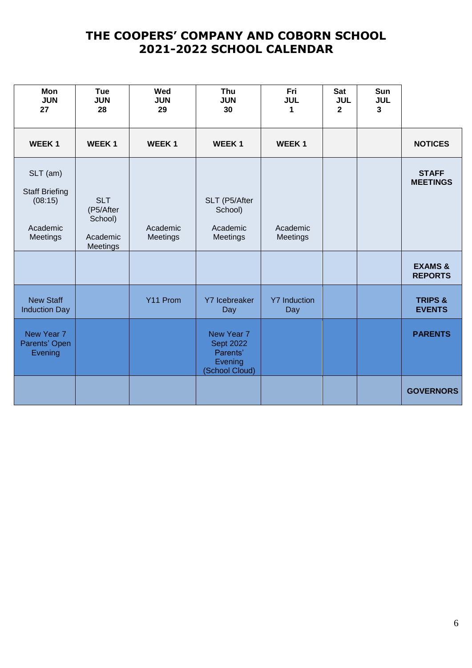|                                      | Sun<br><b>JUL</b><br>3 | <b>Sat</b><br><b>JUL</b><br>$\overline{2}$ | Fri<br><b>JUL</b><br>1     | Thu<br><b>JUN</b><br>30                                                 | Wed<br><b>JUN</b><br>29 | <b>Tue</b><br><b>JUN</b><br>28                             | Mon<br><b>JUN</b><br>27                                              |
|--------------------------------------|------------------------|--------------------------------------------|----------------------------|-------------------------------------------------------------------------|-------------------------|------------------------------------------------------------|----------------------------------------------------------------------|
| <b>NOTICES</b>                       |                        |                                            | <b>WEEK1</b>               | <b>WEEK1</b>                                                            | <b>WEEK1</b>            | <b>WEEK1</b>                                               | <b>WEEK1</b>                                                         |
| <b>STAFF</b><br><b>MEETINGS</b>      |                        |                                            | Academic<br>Meetings       | SLT (P5/After<br>School)<br>Academic<br>Meetings                        | Academic<br>Meetings    | <b>SLT</b><br>(P5/After<br>School)<br>Academic<br>Meetings | SLT (am)<br><b>Staff Briefing</b><br>(08:15)<br>Academic<br>Meetings |
| <b>EXAMS &amp;</b><br><b>REPORTS</b> |                        |                                            |                            |                                                                         |                         |                                                            |                                                                      |
| <b>TRIPS &amp;</b><br><b>EVENTS</b>  |                        |                                            | <b>Y7 Induction</b><br>Day | Y7 Icebreaker<br>Day                                                    | Y11 Prom                |                                                            | <b>New Staff</b><br><b>Induction Day</b>                             |
| <b>PARENTS</b>                       |                        |                                            |                            | New Year 7<br><b>Sept 2022</b><br>Parents'<br>Evening<br>(School Cloud) |                         |                                                            | New Year 7<br>Parents' Open<br>Evening                               |
| <b>GOVERNORS</b>                     |                        |                                            |                            |                                                                         |                         |                                                            |                                                                      |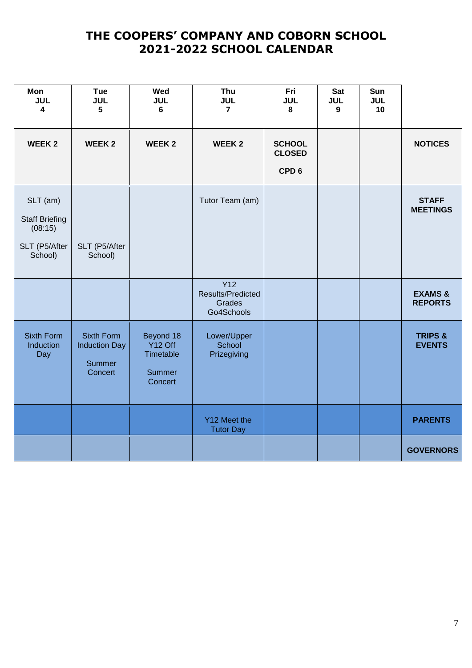|                                      | Sun<br><b>JUL</b><br>10 | Sat<br><b>JUL</b><br>9 | Fri<br><b>JUL</b><br>8                             | Thu<br><b>JUL</b><br>$\overline{7}$                     | Wed<br><b>JUL</b><br>6                                                    | <b>Tue</b><br><b>JUL</b><br>$5\phantom{.0}$                           | Mon<br><b>JUL</b><br>$\overline{\mathbf{4}}$                             |
|--------------------------------------|-------------------------|------------------------|----------------------------------------------------|---------------------------------------------------------|---------------------------------------------------------------------------|-----------------------------------------------------------------------|--------------------------------------------------------------------------|
| <b>NOTICES</b>                       |                         |                        | <b>SCHOOL</b><br><b>CLOSED</b><br>CPD <sub>6</sub> | <b>WEEK2</b>                                            | <b>WEEK2</b>                                                              | <b>WEEK2</b>                                                          | <b>WEEK2</b>                                                             |
| <b>STAFF</b><br><b>MEETINGS</b>      |                         |                        |                                                    | Tutor Team (am)                                         |                                                                           | SLT (P5/After<br>School)                                              | SLT (am)<br><b>Staff Briefing</b><br>(08:15)<br>SLT (P5/After<br>School) |
| <b>EXAMS &amp;</b><br><b>REPORTS</b> |                         |                        |                                                    | <b>Y12</b><br>Results/Predicted<br>Grades<br>Go4Schools |                                                                           |                                                                       |                                                                          |
| <b>TRIPS &amp;</b><br><b>EVENTS</b>  |                         |                        |                                                    | Lower/Upper<br>School<br>Prizegiving                    | Beyond 18<br>Y <sub>12</sub> Off<br>Timetable<br><b>Summer</b><br>Concert | <b>Sixth Form</b><br><b>Induction Day</b><br><b>Summer</b><br>Concert | <b>Sixth Form</b><br>Induction<br>Day                                    |
| <b>PARENTS</b>                       |                         |                        |                                                    | Y12 Meet the<br><b>Tutor Day</b>                        |                                                                           |                                                                       |                                                                          |
| <b>GOVERNORS</b>                     |                         |                        |                                                    |                                                         |                                                                           |                                                                       |                                                                          |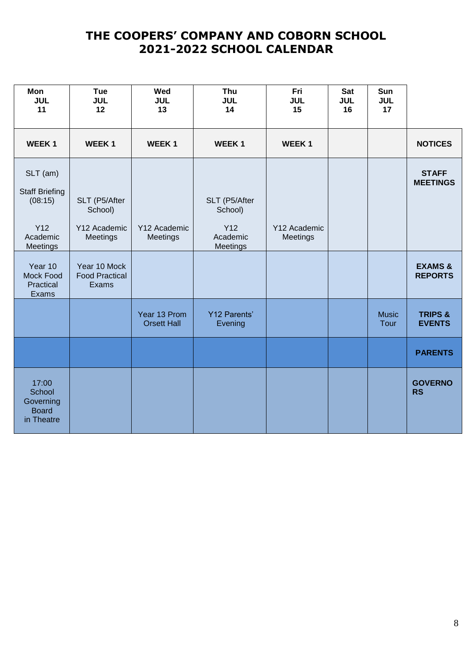|                                      | Sun<br><b>JUL</b><br>17 | <b>Sat</b><br><b>JUL</b><br>16 | Fri<br><b>JUL</b><br>15  | Thu<br><b>JUL</b><br>14                                 | Wed<br><b>JUL</b><br>13            | <b>Tue</b><br><b>JUL</b><br>12                       | Mon<br><b>JUL</b><br>11                                                     |
|--------------------------------------|-------------------------|--------------------------------|--------------------------|---------------------------------------------------------|------------------------------------|------------------------------------------------------|-----------------------------------------------------------------------------|
| <b>NOTICES</b>                       |                         |                                | <b>WEEK1</b>             | <b>WEEK1</b>                                            | <b>WEEK1</b>                       | <b>WEEK1</b>                                         | <b>WEEK1</b>                                                                |
| <b>STAFF</b><br><b>MEETINGS</b>      |                         |                                | Y12 Academic<br>Meetings | SLT (P5/After<br>School)<br>Y12<br>Academic<br>Meetings | Y12 Academic<br>Meetings           | SLT (P5/After<br>School)<br>Y12 Academic<br>Meetings | SLT (am)<br><b>Staff Briefing</b><br>(08:15)<br>Y12<br>Academic<br>Meetings |
| <b>EXAMS &amp;</b><br><b>REPORTS</b> |                         |                                |                          |                                                         |                                    | Year 10 Mock<br><b>Food Practical</b><br>Exams       | Year 10<br>Mock Food<br>Practical<br>Exams                                  |
| <b>TRIPS &amp;</b><br><b>EVENTS</b>  | <b>Music</b><br>Tour    |                                |                          | <b>Y12 Parents'</b><br>Evening                          | Year 13 Prom<br><b>Orsett Hall</b> |                                                      |                                                                             |
| <b>PARENTS</b>                       |                         |                                |                          |                                                         |                                    |                                                      |                                                                             |
| <b>GOVERNO</b><br><b>RS</b>          |                         |                                |                          |                                                         |                                    |                                                      | 17:00<br>School<br>Governing<br><b>Board</b><br>in Theatre                  |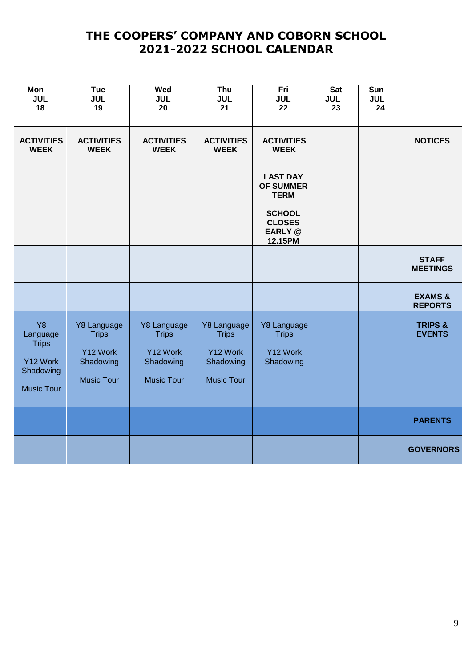| <b>Mon</b><br><b>JUL</b><br>18                                                      | Tue<br><b>JUL</b><br>19                                                   | Wed<br><b>JUL</b><br>20                                                   | Thu<br><b>JUL</b><br>21                                                   | Fri<br><b>JUL</b><br>22                              | <b>Sat</b><br><b>JUL</b><br>23 | Sun<br><b>JUL</b><br>24 |                                      |
|-------------------------------------------------------------------------------------|---------------------------------------------------------------------------|---------------------------------------------------------------------------|---------------------------------------------------------------------------|------------------------------------------------------|--------------------------------|-------------------------|--------------------------------------|
| <b>ACTIVITIES</b><br><b>WEEK</b>                                                    | <b>ACTIVITIES</b><br><b>WEEK</b>                                          | <b>ACTIVITIES</b><br><b>WEEK</b>                                          | <b>ACTIVITIES</b><br><b>WEEK</b>                                          | <b>ACTIVITIES</b><br><b>WEEK</b>                     |                                |                         | <b>NOTICES</b>                       |
|                                                                                     |                                                                           |                                                                           |                                                                           | <b>LAST DAY</b><br><b>OF SUMMER</b><br><b>TERM</b>   |                                |                         |                                      |
|                                                                                     |                                                                           |                                                                           |                                                                           | <b>SCHOOL</b><br><b>CLOSES</b><br>EARLY @<br>12.15PM |                                |                         |                                      |
|                                                                                     |                                                                           |                                                                           |                                                                           |                                                      |                                |                         | <b>STAFF</b><br><b>MEETINGS</b>      |
|                                                                                     |                                                                           |                                                                           |                                                                           |                                                      |                                |                         | <b>EXAMS &amp;</b><br><b>REPORTS</b> |
| <b>Y8</b><br>Language<br><b>Trips</b><br>Y12 Work<br>Shadowing<br><b>Music Tour</b> | Y8 Language<br><b>Trips</b><br>Y12 Work<br>Shadowing<br><b>Music Tour</b> | Y8 Language<br><b>Trips</b><br>Y12 Work<br>Shadowing<br><b>Music Tour</b> | Y8 Language<br><b>Trips</b><br>Y12 Work<br>Shadowing<br><b>Music Tour</b> | Y8 Language<br><b>Trips</b><br>Y12 Work<br>Shadowing |                                |                         | <b>TRIPS &amp;</b><br><b>EVENTS</b>  |
|                                                                                     |                                                                           |                                                                           |                                                                           |                                                      |                                |                         | <b>PARENTS</b>                       |
|                                                                                     |                                                                           |                                                                           |                                                                           |                                                      |                                |                         | <b>GOVERNORS</b>                     |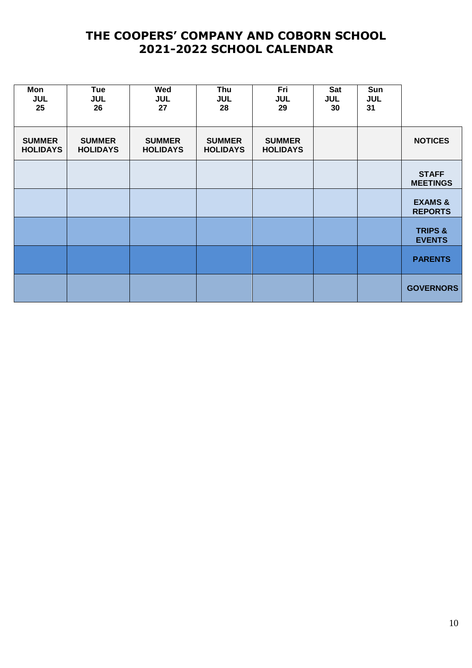|                                      | Sun<br><b>JUL</b><br>31 | Sat<br><b>JUL</b><br>30 | Fri<br><b>JUL</b><br>29          | Thu<br><b>JUL</b><br>28          | Wed<br><b>JUL</b><br>27          | Tue<br><b>JUL</b><br>26          | Mon<br><b>JUL</b><br>25          |
|--------------------------------------|-------------------------|-------------------------|----------------------------------|----------------------------------|----------------------------------|----------------------------------|----------------------------------|
| <b>NOTICES</b>                       |                         |                         | <b>SUMMER</b><br><b>HOLIDAYS</b> | <b>SUMMER</b><br><b>HOLIDAYS</b> | <b>SUMMER</b><br><b>HOLIDAYS</b> | <b>SUMMER</b><br><b>HOLIDAYS</b> | <b>SUMMER</b><br><b>HOLIDAYS</b> |
| <b>STAFF</b><br><b>MEETINGS</b>      |                         |                         |                                  |                                  |                                  |                                  |                                  |
| <b>EXAMS &amp;</b><br><b>REPORTS</b> |                         |                         |                                  |                                  |                                  |                                  |                                  |
| <b>TRIPS &amp;</b><br><b>EVENTS</b>  |                         |                         |                                  |                                  |                                  |                                  |                                  |
| <b>PARENTS</b>                       |                         |                         |                                  |                                  |                                  |                                  |                                  |
| <b>GOVERNORS</b>                     |                         |                         |                                  |                                  |                                  |                                  |                                  |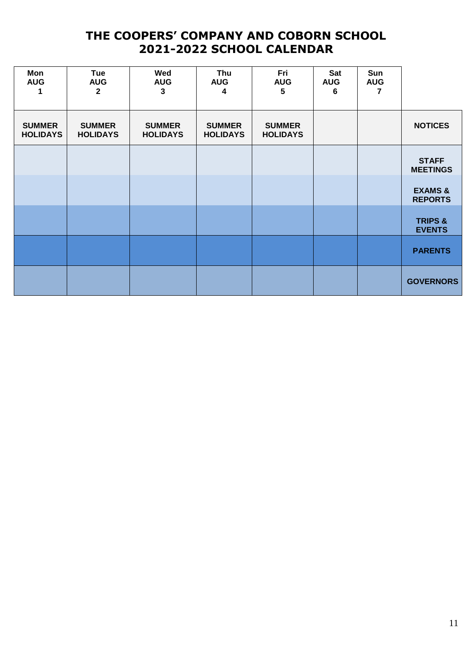|                                      | Sun<br><b>AUG</b> | Sat<br><b>AUG</b><br>6 | Fri<br><b>AUG</b><br>5           | Thu<br><b>AUG</b><br>4           | Wed<br><b>AUG</b><br>$\mathbf{3}$ | Tue<br><b>AUG</b><br>$\mathbf{2}$ | Mon<br><b>AUG</b>                |
|--------------------------------------|-------------------|------------------------|----------------------------------|----------------------------------|-----------------------------------|-----------------------------------|----------------------------------|
| <b>NOTICES</b>                       |                   |                        | <b>SUMMER</b><br><b>HOLIDAYS</b> | <b>SUMMER</b><br><b>HOLIDAYS</b> | <b>SUMMER</b><br><b>HOLIDAYS</b>  | <b>SUMMER</b><br><b>HOLIDAYS</b>  | <b>SUMMER</b><br><b>HOLIDAYS</b> |
| <b>STAFF</b><br><b>MEETINGS</b>      |                   |                        |                                  |                                  |                                   |                                   |                                  |
| <b>EXAMS &amp;</b><br><b>REPORTS</b> |                   |                        |                                  |                                  |                                   |                                   |                                  |
| <b>TRIPS &amp;</b><br><b>EVENTS</b>  |                   |                        |                                  |                                  |                                   |                                   |                                  |
| <b>PARENTS</b>                       |                   |                        |                                  |                                  |                                   |                                   |                                  |
| <b>GOVERNORS</b>                     |                   |                        |                                  |                                  |                                   |                                   |                                  |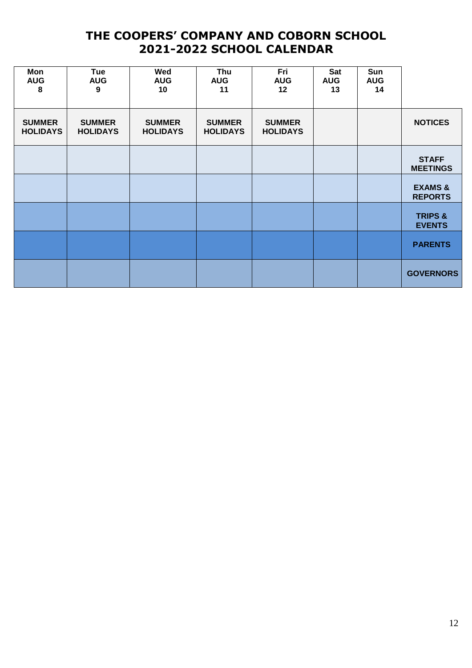| Mon<br><b>AUG</b><br>8           | Tue<br><b>AUG</b><br>9           | Wed<br><b>AUG</b><br>10          | Thu<br><b>AUG</b><br>11          | Fri<br><b>AUG</b><br>12          | Sat<br><b>AUG</b><br>13 | Sun<br><b>AUG</b><br>14 |                                      |
|----------------------------------|----------------------------------|----------------------------------|----------------------------------|----------------------------------|-------------------------|-------------------------|--------------------------------------|
| <b>SUMMER</b><br><b>HOLIDAYS</b> | <b>SUMMER</b><br><b>HOLIDAYS</b> | <b>SUMMER</b><br><b>HOLIDAYS</b> | <b>SUMMER</b><br><b>HOLIDAYS</b> | <b>SUMMER</b><br><b>HOLIDAYS</b> |                         |                         | <b>NOTICES</b>                       |
|                                  |                                  |                                  |                                  |                                  |                         |                         | <b>STAFF</b><br><b>MEETINGS</b>      |
|                                  |                                  |                                  |                                  |                                  |                         |                         | <b>EXAMS &amp;</b><br><b>REPORTS</b> |
|                                  |                                  |                                  |                                  |                                  |                         |                         | <b>TRIPS &amp;</b><br><b>EVENTS</b>  |
|                                  |                                  |                                  |                                  |                                  |                         |                         | <b>PARENTS</b>                       |
|                                  |                                  |                                  |                                  |                                  |                         |                         | <b>GOVERNORS</b>                     |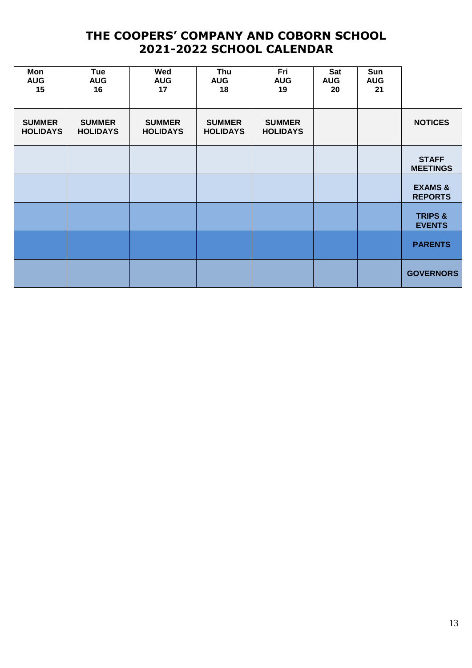| Mon<br><b>AUG</b><br>15          | Tue<br><b>AUG</b><br>16          | Wed<br><b>AUG</b><br>17          | Thu<br><b>AUG</b><br>18          | Fri<br><b>AUG</b><br>19          | Sat<br><b>AUG</b><br>20 | Sun<br><b>AUG</b><br>21 |                                      |
|----------------------------------|----------------------------------|----------------------------------|----------------------------------|----------------------------------|-------------------------|-------------------------|--------------------------------------|
| <b>SUMMER</b><br><b>HOLIDAYS</b> | <b>SUMMER</b><br><b>HOLIDAYS</b> | <b>SUMMER</b><br><b>HOLIDAYS</b> | <b>SUMMER</b><br><b>HOLIDAYS</b> | <b>SUMMER</b><br><b>HOLIDAYS</b> |                         |                         | <b>NOTICES</b>                       |
|                                  |                                  |                                  |                                  |                                  |                         |                         | <b>STAFF</b><br><b>MEETINGS</b>      |
|                                  |                                  |                                  |                                  |                                  |                         |                         | <b>EXAMS &amp;</b><br><b>REPORTS</b> |
|                                  |                                  |                                  |                                  |                                  |                         |                         | <b>TRIPS &amp;</b><br><b>EVENTS</b>  |
|                                  |                                  |                                  |                                  |                                  |                         |                         | <b>PARENTS</b>                       |
|                                  |                                  |                                  |                                  |                                  |                         |                         | <b>GOVERNORS</b>                     |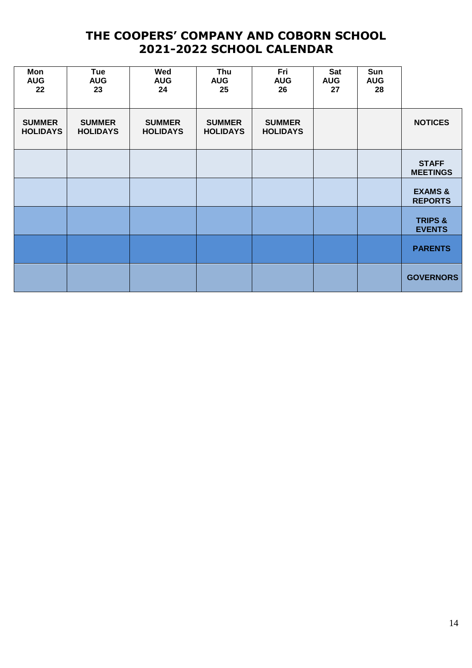| Mon<br><b>AUG</b><br>22          | <b>Tue</b><br><b>AUG</b><br>23   | Wed<br><b>AUG</b><br>24          | Thu<br><b>AUG</b><br>25          | Fri<br><b>AUG</b><br>26          | <b>Sat</b><br><b>AUG</b><br>27 | Sun<br><b>AUG</b><br>28 |                                      |
|----------------------------------|----------------------------------|----------------------------------|----------------------------------|----------------------------------|--------------------------------|-------------------------|--------------------------------------|
| <b>SUMMER</b><br><b>HOLIDAYS</b> | <b>SUMMER</b><br><b>HOLIDAYS</b> | <b>SUMMER</b><br><b>HOLIDAYS</b> | <b>SUMMER</b><br><b>HOLIDAYS</b> | <b>SUMMER</b><br><b>HOLIDAYS</b> |                                |                         | <b>NOTICES</b>                       |
|                                  |                                  |                                  |                                  |                                  |                                |                         | <b>STAFF</b><br><b>MEETINGS</b>      |
|                                  |                                  |                                  |                                  |                                  |                                |                         | <b>EXAMS &amp;</b><br><b>REPORTS</b> |
|                                  |                                  |                                  |                                  |                                  |                                |                         | <b>TRIPS &amp;</b><br><b>EVENTS</b>  |
|                                  |                                  |                                  |                                  |                                  |                                |                         | <b>PARENTS</b>                       |
|                                  |                                  |                                  |                                  |                                  |                                |                         | <b>GOVERNORS</b>                     |